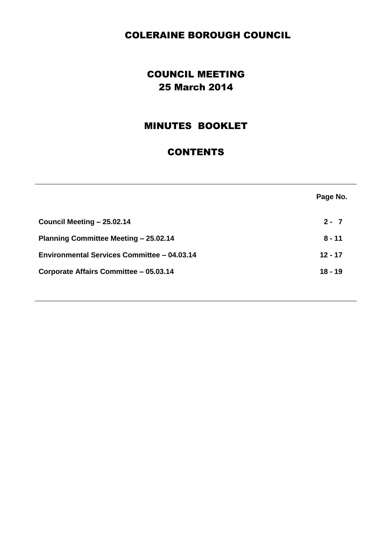# COLERAINE BOROUGH COUNCIL

# COUNCIL MEETING 25 March 2014

# MINUTES BOOKLET

# **CONTENTS**

|                                              | Page No.  |
|----------------------------------------------|-----------|
| Council Meeting - 25.02.14                   | $2 - 7$   |
| <b>Planning Committee Meeting - 25.02.14</b> | $8 - 11$  |
| Environmental Services Committee - 04.03.14  | $12 - 17$ |
| Corporate Affairs Committee - 05.03.14       | $18 - 19$ |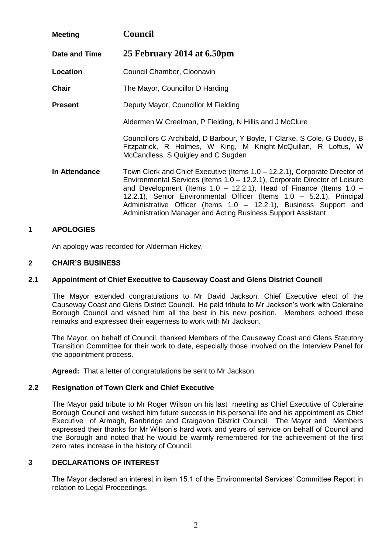| <b>Meeting</b>       | <b>Council</b>                                                                                                                                                                                                                                                                                                                                                                                                                                      |
|----------------------|-----------------------------------------------------------------------------------------------------------------------------------------------------------------------------------------------------------------------------------------------------------------------------------------------------------------------------------------------------------------------------------------------------------------------------------------------------|
| Date and Time        | 25 February 2014 at 6.50pm                                                                                                                                                                                                                                                                                                                                                                                                                          |
| Location             | Council Chamber, Cloonavin                                                                                                                                                                                                                                                                                                                                                                                                                          |
| <b>Chair</b>         | The Mayor, Councillor D Harding                                                                                                                                                                                                                                                                                                                                                                                                                     |
| <b>Present</b>       | Deputy Mayor, Councillor M Fielding                                                                                                                                                                                                                                                                                                                                                                                                                 |
|                      | Aldermen W Creelman, P Fielding, N Hillis and J McClure                                                                                                                                                                                                                                                                                                                                                                                             |
|                      | Councillors C Archibald, D Barbour, Y Boyle, T Clarke, S Cole, G Duddy, B<br>Fitzpatrick, R Holmes, W King, M Knight-McQuillan, R Loftus, W<br>McCandless, S Quigley and C Sugden                                                                                                                                                                                                                                                                   |
| <b>In Attendance</b> | Town Clerk and Chief Executive (Items 1.0 - 12.2.1), Corporate Director of<br>Environmental Services (Items $1.0 - 12.2.1$ ), Corporate Director of Leisure<br>and Development (Items $1.0 - 12.2.1$ ), Head of Finance (Items $1.0 -$<br>12.2.1), Senior Environmental Officer (Items 1.0 - 5.2.1), Principal<br>Administrative Officer (Items 1.0 - 12.2.1), Business Support and<br>Administration Manager and Acting Business Support Assistant |

An apology was recorded for Alderman Hickey.

### **2 CHAIR'S BUSINESS**

#### **2.1 Appointment of Chief Executive to Causeway Coast and Glens District Council**

The Mayor extended congratulations to Mr David Jackson, Chief Executive elect of the Causeway Coast and Glens District Council. He paid tribute to Mr Jackson's work with Coleraine Borough Council and wished him all the best in his new position.Members echoed these remarks and expressed their eagerness to work with Mr Jackson.

The Mayor, on behalf of Council, thanked Members of the Causeway Coast and Glens Statutory Transition Committee for their work to date, especially those involved on the Interview Panel for the appointment process.

**Agreed:** That a letter of congratulations be sent to Mr Jackson.

#### **2.2 Resignation of Town Clerk and Chief Executive**

The Mayor paid tribute to Mr Roger Wilson on his last meeting as Chief Executive of Coleraine Borough Council and wished him future success in his personal life and his appointment as Chief Executive of Armagh, Banbridge and Craigavon District Council. The Mayor and Members expressed their thanks for Mr Wilson's hard work and years of service on behalf of Council and the Borough and noted that he would be warmly remembered for the achievement of the first zero rates increase in the history of Council.

### **3 DECLARATIONS OF INTEREST**

The Mayor declared an interest in item 15.1 of the Environmental Services' Committee Report in relation to Legal Proceedings.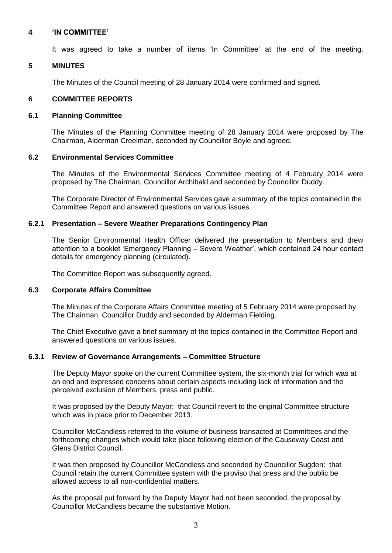#### **4 'IN COMMITTEE'**

It was agreed to take a number of items 'In Committee' at the end of the meeting.

#### **5 MINUTES**

The Minutes of the Council meeting of 28 January 2014 were confirmed and signed.

#### **6 COMMITTEE REPORTS**

#### **6.1 Planning Committee**

The Minutes of the Planning Committee meeting of 28 January 2014 were proposed by The Chairman, Alderman Creelman, seconded by Councillor Boyle and agreed.

#### **6.2 Environmental Services Committee**

The Minutes of the Environmental Services Committee meeting of 4 February 2014 were proposed by The Chairman, Councillor Archibald and seconded by Councillor Duddy.

The Corporate Director of Environmental Services gave a summary of the topics contained in the Committee Report and answered questions on various issues.

#### **6.2.1 Presentation – Severe Weather Preparations Contingency Plan**

The Senior Environmental Health Officer delivered the presentation to Members and drew attention to a booklet 'Emergency Planning – Severe Weather', which contained 24 hour contact details for emergency planning (circulated).

The Committee Report was subsequently agreed.

#### **6.3 Corporate Affairs Committee**

The Minutes of the Corporate Affairs Committee meeting of 5 February 2014 were proposed by The Chairman, Councillor Duddy and seconded by Alderman Fielding.

The Chief Executive gave a brief summary of the topics contained in the Committee Report and answered questions on various issues.

### **6.3.1 Review of Governance Arrangements – Committee Structure**

The Deputy Mayor spoke on the current Committee system, the six-month trial for which was at an end and expressed concerns about certain aspects including lack of information and the perceived exclusion of Members, press and public.

It was proposed by the Deputy Mayor: that Council revert to the original Committee structure which was in place prior to December 2013.

Councillor McCandless referred to the volume of business transacted at Committees and the forthcoming changes which would take place following election of the Causeway Coast and Glens District Council.

It was then proposed by Councillor McCandless and seconded by Councillor Sugden: that Council retain the current Committee system with the proviso that press and the public be allowed access to all non-confidential matters.

As the proposal put forward by the Deputy Mayor had not been seconded, the proposal by Councillor McCandless became the substantive Motion.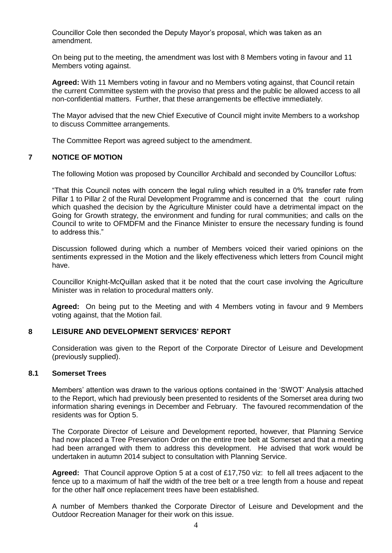Councillor Cole then seconded the Deputy Mayor's proposal, which was taken as an amendment.

On being put to the meeting, the amendment was lost with 8 Members voting in favour and 11 Members voting against.

**Agreed:** With 11 Members voting in favour and no Members voting against, that Council retain the current Committee system with the proviso that press and the public be allowed access to all non-confidential matters. Further, that these arrangements be effective immediately.

The Mayor advised that the new Chief Executive of Council might invite Members to a workshop to discuss Committee arrangements.

The Committee Report was agreed subject to the amendment.

### **7 NOTICE OF MOTION**

The following Motion was proposed by Councillor Archibald and seconded by Councillor Loftus:

"That this Council notes with concern the legal ruling which resulted in a 0% transfer rate from Pillar 1 to Pillar 2 of the Rural Development Programme and is concerned that the court ruling which quashed the decision by the Agriculture Minister could have a detrimental impact on the Going for Growth strategy, the environment and funding for rural communities; and calls on the Council to write to OFMDFM and the Finance Minister to ensure the necessary funding is found to address this."

Discussion followed during which a number of Members voiced their varied opinions on the sentiments expressed in the Motion and the likely effectiveness which letters from Council might have.

Councillor Knight-McQuillan asked that it be noted that the court case involving the Agriculture Minister was in relation to procedural matters only.

**Agreed:** On being put to the Meeting and with 4 Members voting in favour and 9 Members voting against, that the Motion fail.

#### **8 LEISURE AND DEVELOPMENT SERVICES' REPORT**

Consideration was given to the Report of the Corporate Director of Leisure and Development (previously supplied).

#### **8.1 Somerset Trees**

Members' attention was drawn to the various options contained in the 'SWOT' Analysis attached to the Report, which had previously been presented to residents of the Somerset area during two information sharing evenings in December and February. The favoured recommendation of the residents was for Option 5.

The Corporate Director of Leisure and Development reported, however, that Planning Service had now placed a Tree Preservation Order on the entire tree belt at Somerset and that a meeting had been arranged with them to address this development. He advised that work would be undertaken in autumn 2014 subject to consultation with Planning Service.

**Agreed:** That Council approve Option 5 at a cost of £17,750 viz: to fell all trees adjacent to the fence up to a maximum of half the width of the tree belt or a tree length from a house and repeat for the other half once replacement trees have been established.

A number of Members thanked the Corporate Director of Leisure and Development and the Outdoor Recreation Manager for their work on this issue.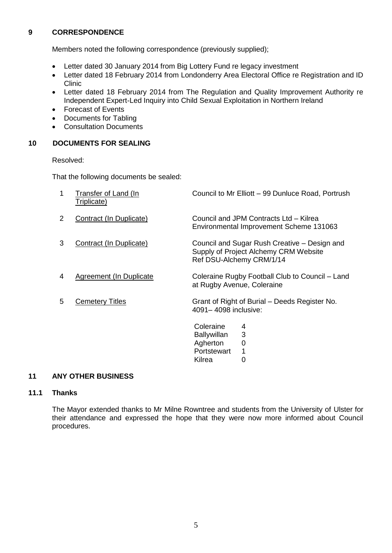# **9 CORRESPONDENCE**

Members noted the following correspondence (previously supplied);

- Letter dated 30 January 2014 from Big Lottery Fund re legacy investment
- Letter dated 18 February 2014 from Londonderry Area Electoral Office re Registration and ID Clinic
- Letter dated 18 February 2014 from The Regulation and Quality Improvement Authority re Independent Expert-Led Inquiry into Child Sexual Exploitation in Northern Ireland
- Forecast of Events
- Documents for Tabling
- Consultation Documents

## **10 DOCUMENTS FOR SEALING**

Resolved:

That the following documents be sealed:

| 1 | Transfer of Land (In<br>Triplicate) | Council to Mr Elliott - 99 Dunluce Road, Portrush                                                                 |
|---|-------------------------------------|-------------------------------------------------------------------------------------------------------------------|
| 2 | Contract (In Duplicate)             | Council and JPM Contracts Ltd - Kilrea<br>Environmental Improvement Scheme 131063                                 |
| 3 | Contract (In Duplicate)             | Council and Sugar Rush Creative – Design and<br>Supply of Project Alchemy CRM Website<br>Ref DSU-Alchemy CRM/1/14 |
| 4 | Agreement (In Duplicate)            | Coleraine Rugby Football Club to Council – Land<br>at Rugby Avenue, Coleraine                                     |
| 5 | <b>Cemetery Titles</b>              | Grant of Right of Burial – Deeds Register No.<br>4091-4098 inclusive:                                             |
|   |                                     | Coleraine<br>4<br>3<br><b>Ballywillan</b><br>Agherton<br>0<br>Portstewart<br>1<br>Kilrea<br>0                     |

## **11 ANY OTHER BUSINESS**

### **11.1 Thanks**

The Mayor extended thanks to Mr Milne Rowntree and students from the University of Ulster for their attendance and expressed the hope that they were now more informed about Council procedures.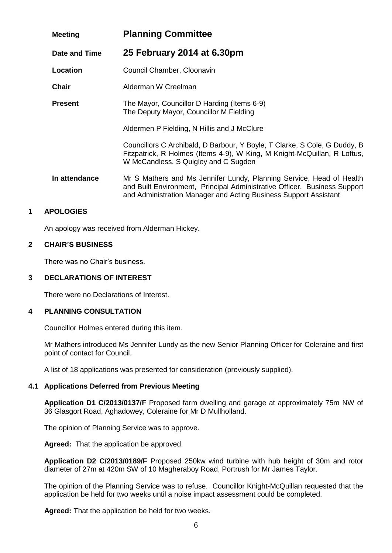| <b>Meeting</b> | <b>Planning Committee</b>                                                                                                                                                                                             |
|----------------|-----------------------------------------------------------------------------------------------------------------------------------------------------------------------------------------------------------------------|
| Date and Time  | 25 February 2014 at 6.30pm                                                                                                                                                                                            |
| Location       | Council Chamber, Cloonavin                                                                                                                                                                                            |
| <b>Chair</b>   | Alderman W Creelman                                                                                                                                                                                                   |
| <b>Present</b> | The Mayor, Councillor D Harding (Items 6-9)<br>The Deputy Mayor, Councillor M Fielding                                                                                                                                |
|                | Aldermen P Fielding, N Hillis and J McClure                                                                                                                                                                           |
|                | Councillors C Archibald, D Barbour, Y Boyle, T Clarke, S Cole, G Duddy, B<br>Fitzpatrick, R Holmes (Items 4-9), W King, M Knight-McQuillan, R Loftus,<br>W McCandless, S Quigley and C Sugden                         |
| In attendance  | Mr S Mathers and Ms Jennifer Lundy, Planning Service, Head of Health<br>and Built Environment, Principal Administrative Officer, Business Support<br>and Administration Manager and Acting Business Support Assistant |

An apology was received from Alderman Hickey.

#### **2 CHAIR'S BUSINESS**

There was no Chair's business.

### **3 DECLARATIONS OF INTEREST**

There were no Declarations of Interest.

### **4 PLANNING CONSULTATION**

Councillor Holmes entered during this item.

Mr Mathers introduced Ms Jennifer Lundy as the new Senior Planning Officer for Coleraine and first point of contact for Council.

A list of 18 applications was presented for consideration (previously supplied).

# **4.1 Applications Deferred from Previous Meeting**

**Application D1 C/2013/0137/F** Proposed farm dwelling and garage at approximately 75m NW of 36 Glasgort Road, Aghadowey, Coleraine for Mr D Mullholland.

The opinion of Planning Service was to approve.

**Agreed:** That the application be approved.

**Application D2 C/2013/0189/F** Proposed 250kw wind turbine with hub height of 30m and rotor diameter of 27m at 420m SW of 10 Magheraboy Road, Portrush for Mr James Taylor.

The opinion of the Planning Service was to refuse. Councillor Knight-McQuillan requested that the application be held for two weeks until a noise impact assessment could be completed.

**Agreed:** That the application be held for two weeks.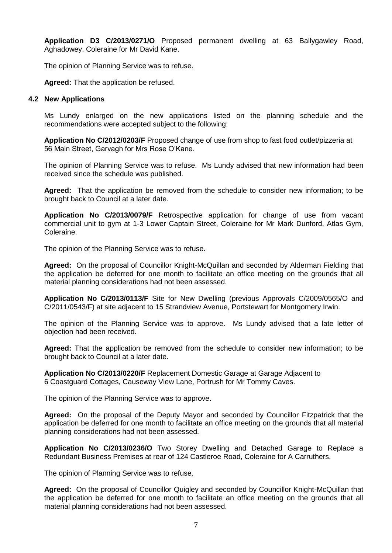**Application D3 C/2013/0271/O** Proposed permanent dwelling at 63 Ballygawley Road, Aghadowey, Coleraine for Mr David Kane.

The opinion of Planning Service was to refuse.

**Agreed:** That the application be refused.

#### **4.2 New Applications**

Ms Lundy enlarged on the new applications listed on the planning schedule and the recommendations were accepted subject to the following:

**Application No C/2012/0203/F** Proposed change of use from shop to fast food outlet/pizzeria at 56 Main Street, Garvagh for Mrs Rose O'Kane.

The opinion of Planning Service was to refuse. Ms Lundy advised that new information had been received since the schedule was published.

**Agreed:** That the application be removed from the schedule to consider new information; to be brought back to Council at a later date.

**Application No C/2013/0079/F** Retrospective application for change of use from vacant commercial unit to gym at 1-3 Lower Captain Street, Coleraine for Mr Mark Dunford, Atlas Gym, Coleraine.

The opinion of the Planning Service was to refuse.

**Agreed:** On the proposal of Councillor Knight-McQuillan and seconded by Alderman Fielding that the application be deferred for one month to facilitate an office meeting on the grounds that all material planning considerations had not been assessed.

**Application No C/2013/0113/F** Site for New Dwelling (previous Approvals C/2009/0565/O and C/2011/0543/F) at site adjacent to 15 Strandview Avenue, Portstewart for Montgomery Irwin.

The opinion of the Planning Service was to approve. Ms Lundy advised that a late letter of objection had been received.

**Agreed:** That the application be removed from the schedule to consider new information; to be brought back to Council at a later date.

**Application No C/2013/0220/F** Replacement Domestic Garage at Garage Adjacent to 6 Coastguard Cottages, Causeway View Lane, Portrush for Mr Tommy Caves.

The opinion of the Planning Service was to approve.

**Agreed:** On the proposal of the Deputy Mayor and seconded by Councillor Fitzpatrick that the application be deferred for one month to facilitate an office meeting on the grounds that all material planning considerations had not been assessed.

**Application No C/2013/0236/O** Two Storey Dwelling and Detached Garage to Replace a Redundant Business Premises at rear of 124 Castleroe Road, Coleraine for A Carruthers.

The opinion of Planning Service was to refuse.

**Agreed:** On the proposal of Councillor Quigley and seconded by Councillor Knight-McQuillan that the application be deferred for one month to facilitate an office meeting on the grounds that all material planning considerations had not been assessed.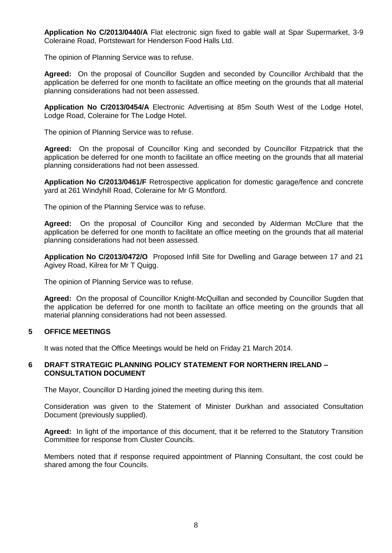**Application No C/2013/0440/A** Flat electronic sign fixed to gable wall at Spar Supermarket, 3-9 Coleraine Road, Portstewart for Henderson Food Halls Ltd.

The opinion of Planning Service was to refuse.

**Agreed:** On the proposal of Councillor Sugden and seconded by Councillor Archibald that the application be deferred for one month to facilitate an office meeting on the grounds that all material planning considerations had not been assessed.

**Application No C/2013/0454/A** Electronic Advertising at 85m South West of the Lodge Hotel, Lodge Road, Coleraine for The Lodge Hotel.

The opinion of Planning Service was to refuse.

**Agreed:** On the proposal of Councillor King and seconded by Councillor Fitzpatrick that the application be deferred for one month to facilitate an office meeting on the grounds that all material planning considerations had not been assessed.

**Application No C/2013/0461/F** Retrospective application for domestic garage/fence and concrete yard at 261 Windyhill Road, Coleraine for Mr G Montford.

The opinion of the Planning Service was to refuse.

**Agreed:** On the proposal of Councillor King and seconded by Alderman McClure that the application be deferred for one month to facilitate an office meeting on the grounds that all material planning considerations had not been assessed.

**Application No C/2013/0472/O** Proposed Infill Site for Dwelling and Garage between 17 and 21 Agivey Road, Kilrea for Mr T Quigg.

The opinion of Planning Service was to refuse.

**Agreed:** On the proposal of Councillor Knight-McQuillan and seconded by Councillor Sugden that the application be deferred for one month to facilitate an office meeting on the grounds that all material planning considerations had not been assessed.

### **5 OFFICE MEETINGS**

It was noted that the Office Meetings would be held on Friday 21 March 2014.

#### **6 DRAFT STRATEGIC PLANNING POLICY STATEMENT FOR NORTHERN IRELAND – CONSULTATION DOCUMENT**

The Mayor, Councillor D Harding joined the meeting during this item.

Consideration was given to the Statement of Minister Durkhan and associated Consultation Document (previously supplied).

**Agreed:** In light of the importance of this document, that it be referred to the Statutory Transition Committee for response from Cluster Councils.

Members noted that if response required appointment of Planning Consultant, the cost could be shared among the four Councils.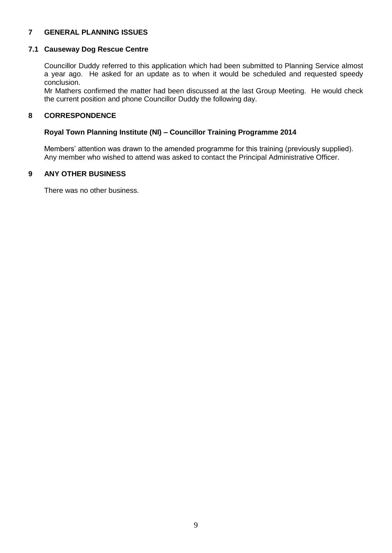# **7 GENERAL PLANNING ISSUES**

#### **7.1 Causeway Dog Rescue Centre**

Councillor Duddy referred to this application which had been submitted to Planning Service almost a year ago. He asked for an update as to when it would be scheduled and requested speedy conclusion.

Mr Mathers confirmed the matter had been discussed at the last Group Meeting. He would check the current position and phone Councillor Duddy the following day.

#### **8 CORRESPONDENCE**

#### **Royal Town Planning Institute (NI) – Councillor Training Programme 2014**

Members' attention was drawn to the amended programme for this training (previously supplied). Any member who wished to attend was asked to contact the Principal Administrative Officer.

#### **9 ANY OTHER BUSINESS**

There was no other business.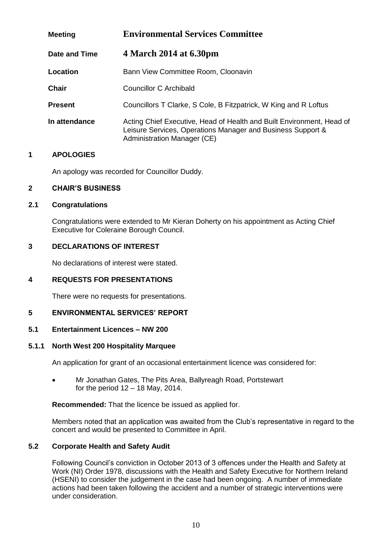| <b>Meeting</b> | <b>Environmental Services Committee</b>                                                                                                                             |
|----------------|---------------------------------------------------------------------------------------------------------------------------------------------------------------------|
| Date and Time  | 4 March 2014 at 6.30pm                                                                                                                                              |
| Location       | Bann View Committee Room, Cloonavin                                                                                                                                 |
| <b>Chair</b>   | Councillor C Archibald                                                                                                                                              |
| <b>Present</b> | Councillors T Clarke, S Cole, B Fitzpatrick, W King and R Loftus                                                                                                    |
| In attendance  | Acting Chief Executive, Head of Health and Built Environment, Head of<br>Leisure Services, Operations Manager and Business Support &<br>Administration Manager (CE) |

An apology was recorded for Councillor Duddy.

#### **2 CHAIR'S BUSINESS**

## **2.1 Congratulations**

Congratulations were extended to Mr Kieran Doherty on his appointment as Acting Chief Executive for Coleraine Borough Council.

## **3 DECLARATIONS OF INTEREST**

No declarations of interest were stated.

### **4 REQUESTS FOR PRESENTATIONS**

There were no requests for presentations.

## **5 ENVIRONMENTAL SERVICES' REPORT**

#### **5.1 Entertainment Licences – NW 200**

#### **5.1.1 North West 200 Hospitality Marquee**

An application for grant of an occasional entertainment licence was considered for:

 Mr Jonathan Gates, The Pits Area, Ballyreagh Road, Portstewart for the period  $12 - 18$  May, 2014.

**Recommended:** That the licence be issued as applied for.

Members noted that an application was awaited from the Club's representative in regard to the concert and would be presented to Committee in April.

### **5.2 Corporate Health and Safety Audit**

Following Council's conviction in October 2013 of 3 offences under the Health and Safety at Work (NI) Order 1978, discussions with the Health and Safety Executive for Northern Ireland (HSENI) to consider the judgement in the case had been ongoing. A number of immediate actions had been taken following the accident and a number of strategic interventions were under consideration.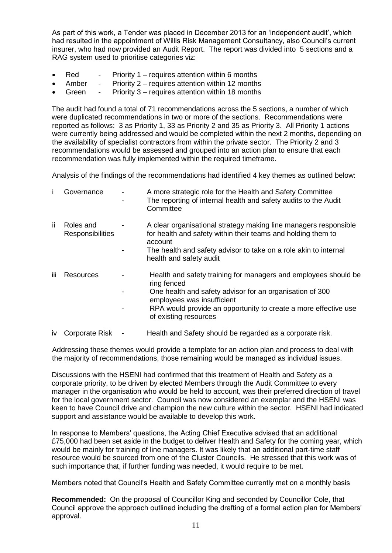As part of this work, a Tender was placed in December 2013 for an 'independent audit', which had resulted in the appointment of Willis Risk Management Consultancy, also Council's current insurer, who had now provided an Audit Report. The report was divided into 5 sections and a RAG system used to prioritise categories viz:

- Red Priority 1 requires attention within 6 months
- Amber Priority 2 requires attention within 12 months
- Green Priority 3 requires attention within 18 months

The audit had found a total of 71 recommendations across the 5 sections, a number of which were duplicated recommendations in two or more of the sections. Recommendations were reported as follows: 3 as Priority 1, 33 as Priority 2 and 35 as Priority 3. All Priority 1 actions were currently being addressed and would be completed within the next 2 months, depending on the availability of specialist contractors from within the private sector. The Priority 2 and 3 recommendations would be assessed and grouped into an action plan to ensure that each recommendation was fully implemented within the required timeframe.

Analysis of the findings of the recommendations had identified 4 key themes as outlined below:

|     | Governance                           | A more strategic role for the Health and Safety Committee<br>The reporting of internal health and safety audits to the Audit<br>Committee                                                                                                                            |
|-----|--------------------------------------|----------------------------------------------------------------------------------------------------------------------------------------------------------------------------------------------------------------------------------------------------------------------|
| ii. | Roles and<br><b>Responsibilities</b> | A clear organisational strategy making line managers responsible<br>for health and safety within their teams and holding them to<br>account<br>The health and safety advisor to take on a role akin to internal<br>health and safety audit                           |
| iii | Resources                            | Health and safety training for managers and employees should be<br>ring fenced<br>One health and safety advisor for an organisation of 300<br>employees was insufficient<br>RPA would provide an opportunity to create a more effective use<br>of existing resources |
| İV. | Corporate Risk                       | Health and Safety should be regarded as a corporate risk.                                                                                                                                                                                                            |

Addressing these themes would provide a template for an action plan and process to deal with the majority of recommendations, those remaining would be managed as individual issues.

Discussions with the HSENI had confirmed that this treatment of Health and Safety as a corporate priority, to be driven by elected Members through the Audit Committee to every manager in the organisation who would be held to account, was their preferred direction of travel for the local government sector. Council was now considered an exemplar and the HSENI was keen to have Council drive and champion the new culture within the sector. HSENI had indicated support and assistance would be available to develop this work.

In response to Members' questions, the Acting Chief Executive advised that an additional £75,000 had been set aside in the budget to deliver Health and Safety for the coming year, which would be mainly for training of line managers. It was likely that an additional part-time staff resource would be sourced from one of the Cluster Councils. He stressed that this work was of such importance that, if further funding was needed, it would require to be met.

Members noted that Council's Health and Safety Committee currently met on a monthly basis

**Recommended:** On the proposal of Councillor King and seconded by Councillor Cole, that Council approve the approach outlined including the drafting of a formal action plan for Members' approval.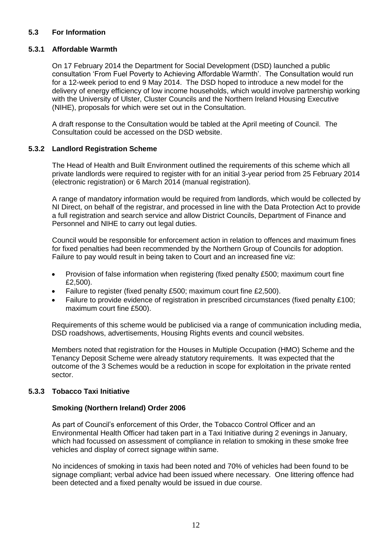## **5.3 For Information**

## **5.3.1 Affordable Warmth**

On 17 February 2014 the Department for Social Development (DSD) launched a public consultation 'From Fuel Poverty to Achieving Affordable Warmth'. The Consultation would run for a 12-week period to end 9 May 2014. The DSD hoped to introduce a new model for the delivery of energy efficiency of low income households, which would involve partnership working with the University of Ulster, Cluster Councils and the Northern Ireland Housing Executive (NIHE), proposals for which were set out in the Consultation.

A draft response to the Consultation would be tabled at the April meeting of Council. The Consultation could be accessed on the DSD website.

### **5.3.2 Landlord Registration Scheme**

The Head of Health and Built Environment outlined the requirements of this scheme which all private landlords were required to register with for an initial 3-year period from 25 February 2014 (electronic registration) or 6 March 2014 (manual registration).

A range of mandatory information would be required from landlords, which would be collected by NI Direct, on behalf of the registrar, and processed in line with the Data Protection Act to provide a full registration and search service and allow District Councils, Department of Finance and Personnel and NIHE to carry out legal duties.

Council would be responsible for enforcement action in relation to offences and maximum fines for fixed penalties had been recommended by the Northern Group of Councils for adoption. Failure to pay would result in being taken to Court and an increased fine viz:

- Provision of false information when registering (fixed penalty £500; maximum court fine £2,500).
- Failure to register (fixed penalty £500; maximum court fine £2,500).
- Failure to provide evidence of registration in prescribed circumstances (fixed penalty £100; maximum court fine £500).

Requirements of this scheme would be publicised via a range of communication including media, DSD roadshows, advertisements, Housing Rights events and council websites.

Members noted that registration for the Houses in Multiple Occupation (HMO) Scheme and the Tenancy Deposit Scheme were already statutory requirements. It was expected that the outcome of the 3 Schemes would be a reduction in scope for exploitation in the private rented sector.

## **5.3.3 Tobacco Taxi Initiative**

### **Smoking (Northern Ireland) Order 2006**

As part of Council's enforcement of this Order, the Tobacco Control Officer and an Environmental Health Officer had taken part in a Taxi Initiative during 2 evenings in January, which had focussed on assessment of compliance in relation to smoking in these smoke free vehicles and display of correct signage within same.

No incidences of smoking in taxis had been noted and 70% of vehicles had been found to be signage compliant; verbal advice had been issued where necessary. One littering offence had been detected and a fixed penalty would be issued in due course.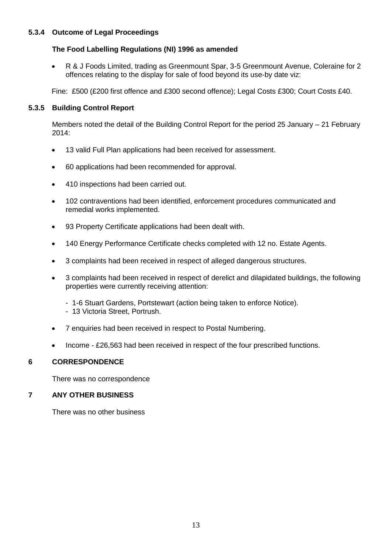# **5.3.4 Outcome of Legal Proceedings**

## **The Food Labelling Regulations (NI) 1996 as amended**

 R & J Foods Limited, trading as Greenmount Spar, 3-5 Greenmount Avenue, Coleraine for 2 offences relating to the display for sale of food beyond its use-by date viz:

Fine: £500 (£200 first offence and £300 second offence); Legal Costs £300; Court Costs £40.

## **5.3.5 Building Control Report**

Members noted the detail of the Building Control Report for the period 25 January – 21 February 2014:

- 13 valid Full Plan applications had been received for assessment.
- 60 applications had been recommended for approval.
- 410 inspections had been carried out.
- 102 contraventions had been identified, enforcement procedures communicated and remedial works implemented.
- 93 Property Certificate applications had been dealt with.
- 140 Energy Performance Certificate checks completed with 12 no. Estate Agents.
- 3 complaints had been received in respect of alleged dangerous structures.
- 3 complaints had been received in respect of derelict and dilapidated buildings, the following properties were currently receiving attention:
	- 1-6 Stuart Gardens, Portstewart (action being taken to enforce Notice).
	- 13 Victoria Street, Portrush.
- 7 enquiries had been received in respect to Postal Numbering.
- Income £26,563 had been received in respect of the four prescribed functions.

# **6 CORRESPONDENCE**

There was no correspondence

# **7 ANY OTHER BUSINESS**

There was no other business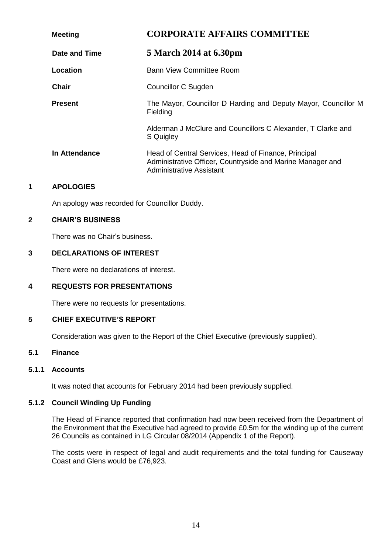| <b>Meeting</b> | <b>CORPORATE AFFAIRS COMMITTEE</b>                                                                                                             |
|----------------|------------------------------------------------------------------------------------------------------------------------------------------------|
| Date and Time  | 5 March 2014 at 6.30pm                                                                                                                         |
| Location       | Bann View Committee Room                                                                                                                       |
| Chair          | Councillor C Sugden                                                                                                                            |
| <b>Present</b> | The Mayor, Councillor D Harding and Deputy Mayor, Councillor M<br>Fielding                                                                     |
|                | Alderman J McClure and Councillors C Alexander, T Clarke and<br>S Quigley                                                                      |
| In Attendance  | Head of Central Services, Head of Finance, Principal<br>Administrative Officer, Countryside and Marine Manager and<br>Administrative Assistant |

An apology was recorded for Councillor Duddy.

### **2 CHAIR'S BUSINESS**

There was no Chair's business.

## **3 DECLARATIONS OF INTEREST**

There were no declarations of interest.

### **4 REQUESTS FOR PRESENTATIONS**

There were no requests for presentations.

### **5 CHIEF EXECUTIVE'S REPORT**

Consideration was given to the Report of the Chief Executive (previously supplied).

# **5.1 Finance**

### **5.1.1 Accounts**

It was noted that accounts for February 2014 had been previously supplied.

### **5.1.2 Council Winding Up Funding**

The Head of Finance reported that confirmation had now been received from the Department of the Environment that the Executive had agreed to provide £0.5m for the winding up of the current 26 Councils as contained in LG Circular 08/2014 (Appendix 1 of the Report).

The costs were in respect of legal and audit requirements and the total funding for Causeway Coast and Glens would be £76,923.